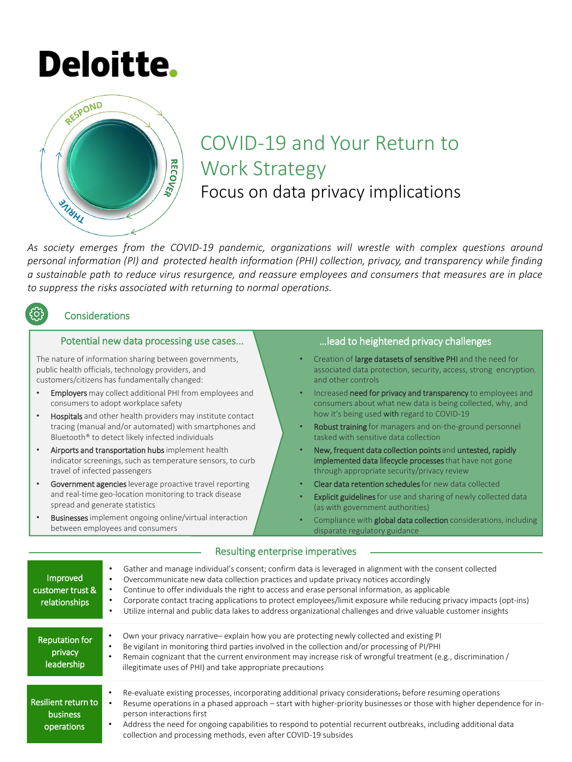# **Deloitte.**



# COVID-19 and Your Return to Work Strategy Focus on data privacy implications

*As society emerges from the COVID-19 pandemic, organizations will wrestle with complex questions around personal information (PI) and protected health information (PHI) collection, privacy, and transparency while finding* a sustainable path to reduce virus resurgence, and reassure employees and consumers that measures are in place *to suppress the risks associated with returning to normal operations.*

# **Considerations**

#### Potential new data processing use cases...

The nature of information sharing between governments, public health officials, technology providers, and customers/citizens has fundamentally changed:

- Employers may collect additional PHI from employees and consumers to adopt workplace safety
- Hospitals and other health providers may institute contact tracing (manual and/or automated) with smartphones and Bluetooth® to detect likely infected individuals
- Airports and transportation hubs implement health indicator screenings, such as temperature sensors, to curb travel of infected passengers
- Government agencies leverage proactive travel reporting and real-time geo-location monitoring to track disease spread and generate statistics
- **Businesses** implement ongoing online/virtual interaction between employees and consumers

# …lead to heightened privacy challenges

- Creation of large datasets of sensitive PHI and the need for associated data protection, security, access, strong encryption, and other controls
- Increased need for privacy and transparency to employees and consumers about what new data is being collected, why, and how it's being used with regard to COVID-19
- Robust training for managers and on-the-ground personnel tasked with sensitive data collection
- New, frequent data collection points and untested, rapidly implemented data lifecycle processes that have not gone through appropriate security/privacy review
- Clear data retention schedules for new data collected
- Explicit guidelines for use and sharing of newly collected data (as with government authorities)
- Compliance with global data collection considerations, including disparate regulatory guidance

| Improved<br>customer trust &<br>relationships        | Gather and manage individual's consent; confirm data is leveraged in alignment with the consent collected<br>Overcommunicate new data collection practices and update privacy notices accordingly<br>$\bullet$<br>Continue to offer individuals the right to access and erase personal information, as applicable<br>$\bullet$<br>Corporate contact tracing applications to protect employees/limit exposure while reducing privacy impacts (opt-ins)<br>$\bullet$<br>Utilize internal and public data lakes to address organizational challenges and drive valuable customer insights<br>$\bullet$ |
|------------------------------------------------------|-----------------------------------------------------------------------------------------------------------------------------------------------------------------------------------------------------------------------------------------------------------------------------------------------------------------------------------------------------------------------------------------------------------------------------------------------------------------------------------------------------------------------------------------------------------------------------------------------------|
| <b>Reputation for</b><br>privacy<br>leadership       | Own your privacy narrative-explain how you are protecting newly collected and existing PI<br>Be vigilant in monitoring third parties involved in the collection and/or processing of PI/PHI<br>Remain cognizant that the current environment may increase risk of wrongful treatment (e.g., discrimination /<br>$\bullet$<br>illegitimate uses of PHI) and take appropriate precautions                                                                                                                                                                                                             |
| Resilient return to<br><b>business</b><br>operations | Re-evaluate existing processes, incorporating additional privacy considerations, before resuming operations<br>Resume operations in a phased approach – start with higher-priority businesses or those with higher dependence for in-<br>$\bullet$<br>person interactions first<br>Address the need for ongoing capabilities to respond to potential recurrent outbreaks, including additional data<br>$\bullet$<br>collection and processing methods, even after COVID-19 subsides                                                                                                                 |

#### Resulting enterprise imperatives